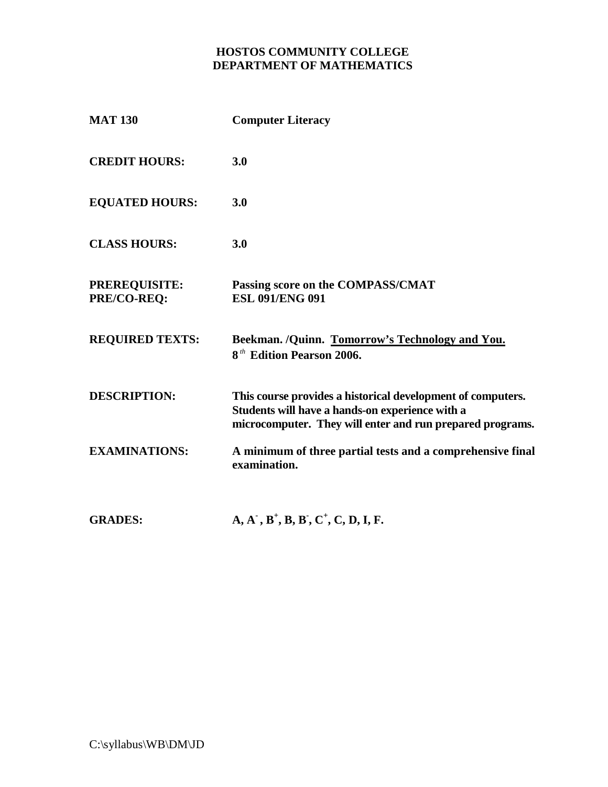# **HOSTOS COMMUNITY COLLEGE DEPARTMENT OF MATHEMATICS**

| <b>MAT 130</b>                                                                                                                                               | <b>Computer Literacy</b>                                                                                                                                                                                                                                                                                                                                    |                      |                                                                            |
|--------------------------------------------------------------------------------------------------------------------------------------------------------------|-------------------------------------------------------------------------------------------------------------------------------------------------------------------------------------------------------------------------------------------------------------------------------------------------------------------------------------------------------------|----------------------|----------------------------------------------------------------------------|
| <b>CREDIT HOURS:</b><br><b>EQUATED HOURS:</b><br><b>CLASS HOURS:</b><br><b>PREREQUISITE:</b><br>PRE/CO-REO:<br><b>REQUIRED TEXTS:</b><br><b>DESCRIPTION:</b> | 3.0<br>3.0<br>3.0<br>Passing score on the COMPASS/CMAT<br><b>ESL 091/ENG 091</b><br>Beekman. /Quinn. Tomorrow's Technology and You.<br>8 <sup>th</sup> Edition Pearson 2006.<br>This course provides a historical development of computers.<br>Students will have a hands-on experience with a<br>microcomputer. They will enter and run prepared programs. |                      |                                                                            |
|                                                                                                                                                              |                                                                                                                                                                                                                                                                                                                                                             | <b>EXAMINATIONS:</b> | A minimum of three partial tests and a comprehensive final<br>examination. |
|                                                                                                                                                              |                                                                                                                                                                                                                                                                                                                                                             | <b>GRADES:</b>       | $A, A^-, B^+, B, B^-, C^+, C, D, I, F.$                                    |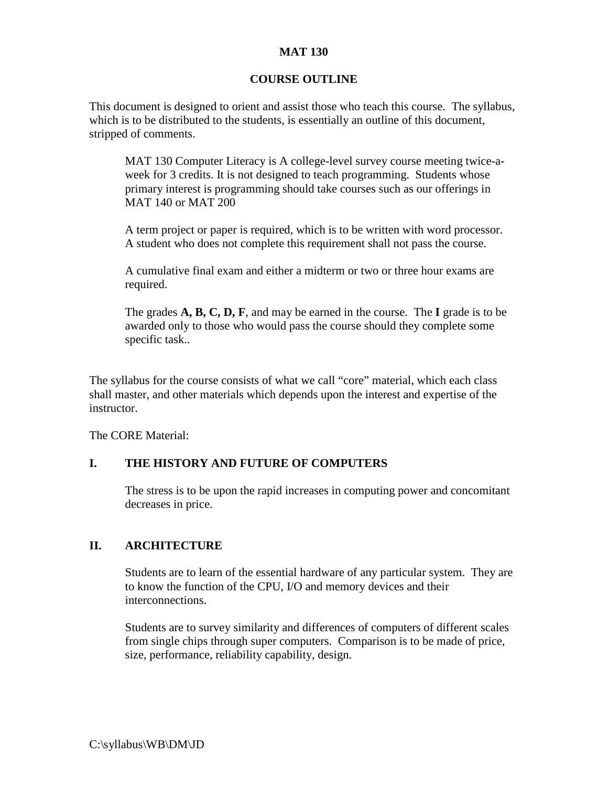### **MAT 130**

### **COURSE OUTLINE**

This document is designed to orient and assist those who teach this course. The syllabus, which is to be distributed to the students, is essentially an outline of this document, stripped of comments.

MAT 130 Computer Literacy is A college-level survey course meeting twice-aweek for 3 credits. It is not designed to teach programming. Students whose primary interest is programming should take courses such as our offerings in MAT 140 or MAT 200

A term project or paper is required, which is to be written with word processor. A student who does not complete this requirement shall not pass the course.

A cumulative final exam and either a midterm or two or three hour exams are required.

The grades **A, B, C, D, F**, and may be earned in the course. The **I** grade is to be awarded only to those who would pass the course should they complete some specific task..

The syllabus for the course consists of what we call "core" material, which each class shall master, and other materials which depends upon the interest and expertise of the instructor.

The CORE Material:

#### **I. THE HISTORY AND FUTURE OF COMPUTERS**

The stress is to be upon the rapid increases in computing power and concomitant decreases in price.

#### **II. ARCHITECTURE**

Students are to learn of the essential hardware of any particular system. They are to know the function of the CPU, I/O and memory devices and their interconnections.

Students are to survey similarity and differences of computers of different scales from single chips through super computers. Comparison is to be made of price, size, performance, reliability capability, design.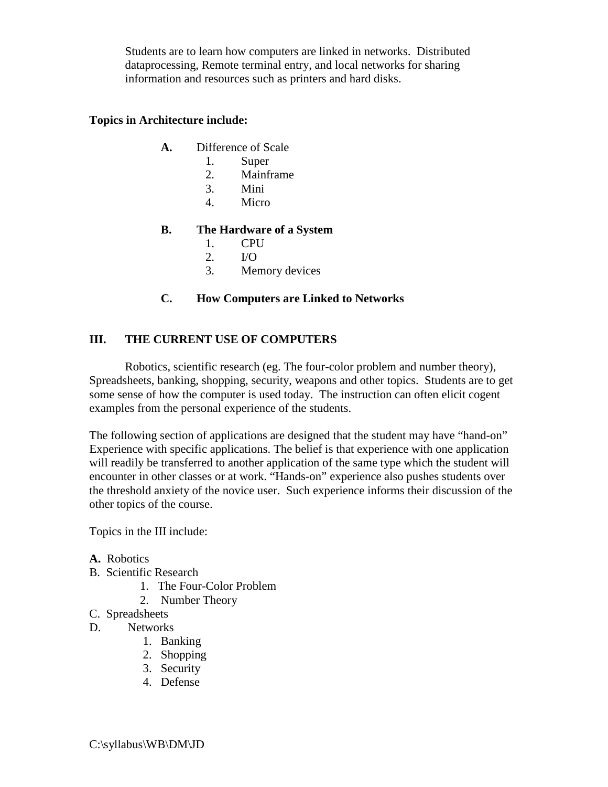Students are to learn how computers are linked in networks. Distributed dataprocessing, Remote terminal entry, and local networks for sharing information and resources such as printers and hard disks.

#### **Topics in Architecture include:**

- **A.** Difference of Scale
	- 1. Super
	- 2. Mainframe
	- 3. Mini
	- 4. Micro

### **B. The Hardware of a System**

- 1. CPU
- 2. I/O
- 3. Memory devices

### **C. How Computers are Linked to Networks**

### **III. THE CURRENT USE OF COMPUTERS**

Robotics, scientific research (eg. The four-color problem and number theory), Spreadsheets, banking, shopping, security, weapons and other topics. Students are to get some sense of how the computer is used today. The instruction can often elicit cogent examples from the personal experience of the students.

The following section of applications are designed that the student may have "hand-on" Experience with specific applications. The belief is that experience with one application will readily be transferred to another application of the same type which the student will encounter in other classes or at work. "Hands-on" experience also pushes students over the threshold anxiety of the novice user. Such experience informs their discussion of the other topics of the course.

Topics in the III include:

- **A.** Robotics
- B. Scientific Research
	- 1. The Four-Color Problem
	- 2. Number Theory
- C. Spreadsheets
- D. Networks
	- 1. Banking
	- 2. Shopping
	- 3. Security
	- 4. Defense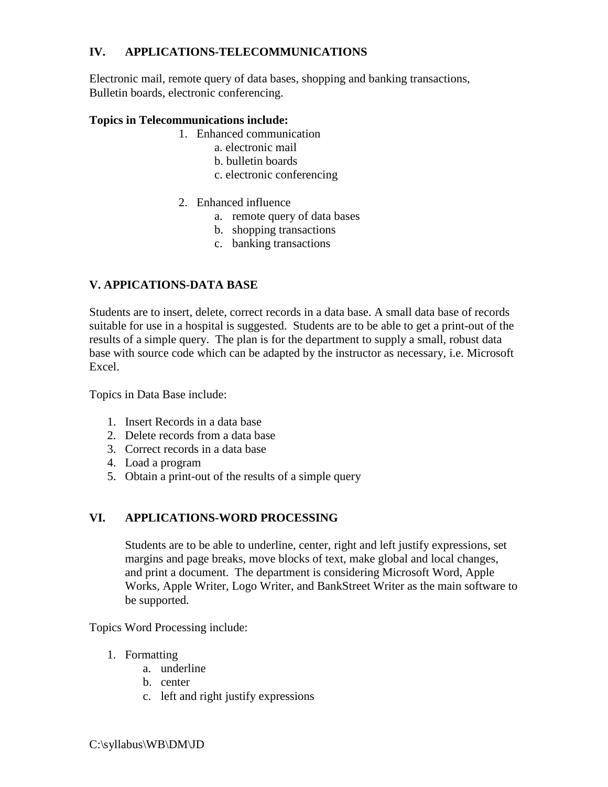# **IV. APPLICATIONS-TELECOMMUNICATIONS**

Electronic mail, remote query of data bases, shopping and banking transactions, Bulletin boards, electronic conferencing.

# **Topics in Telecommunications include:**

- 1. Enhanced communication
	- a. electronic mail
	- b. bulletin boards
	- c. electronic conferencing
- 2. Enhanced influence
	- a. remote query of data bases
	- b. shopping transactions
	- c. banking transactions

# **V. APPICATIONS-DATA BASE**

Students are to insert, delete, correct records in a data base. A small data base of records suitable for use in a hospital is suggested. Students are to be able to get a print-out of the results of a simple query. The plan is for the department to supply a small, robust data base with source code which can be adapted by the instructor as necessary, i.e. Microsoft Excel.

Topics in Data Base include:

- 1. Insert Records in a data base
- 2. Delete records from a data base
- 3. Correct records in a data base
- 4. Load a program
- 5. Obtain a print-out of the results of a simple query

## **VI. APPLICATIONS-WORD PROCESSING**

Students are to be able to underline, center, right and left justify expressions, set margins and page breaks, move blocks of text, make global and local changes, and print a document. The department is considering Microsoft Word, Apple Works, Apple Writer, Logo Writer, and BankStreet Writer as the main software to be supported.

Topics Word Processing include:

- 1. Formatting
	- a. underline
	- b. center
	- c. left and right justify expressions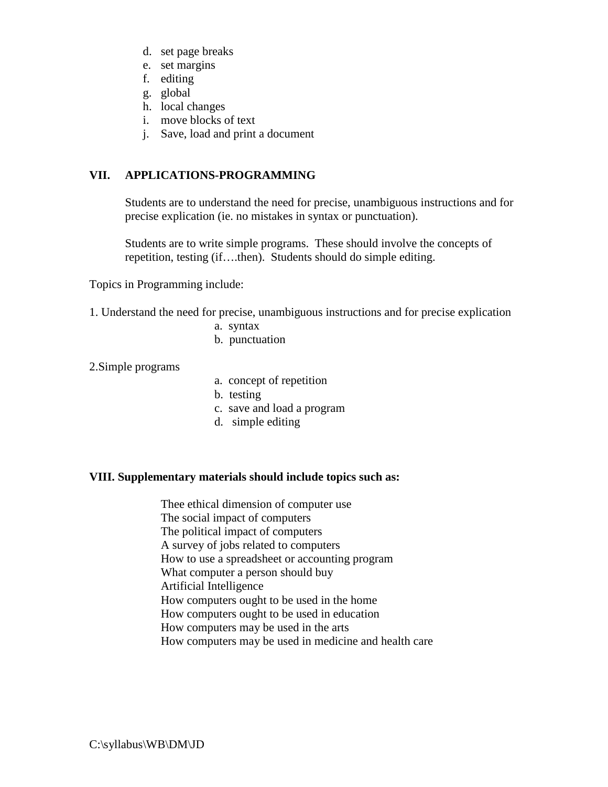- d. set page breaks
- e. set margins
- f. editing
- g. global
- h. local changes
- i. move blocks of text
- j. Save, load and print a document

# **VII. APPLICATIONS-PROGRAMMING**

Students are to understand the need for precise, unambiguous instructions and for precise explication (ie. no mistakes in syntax or punctuation).

Students are to write simple programs. These should involve the concepts of repetition, testing (if….then). Students should do simple editing.

Topics in Programming include:

- 1. Understand the need for precise, unambiguous instructions and for precise explication
	- a. syntax
	- b. punctuation

2.Simple programs

- a. concept of repetition
- b. testing
- c. save and load a program
- d. simple editing

#### **VIII. Supplementary materials should include topics such as:**

Thee ethical dimension of computer use The social impact of computers The political impact of computers A survey of jobs related to computers How to use a spreadsheet or accounting program What computer a person should buy Artificial Intelligence How computers ought to be used in the home How computers ought to be used in education How computers may be used in the arts How computers may be used in medicine and health care